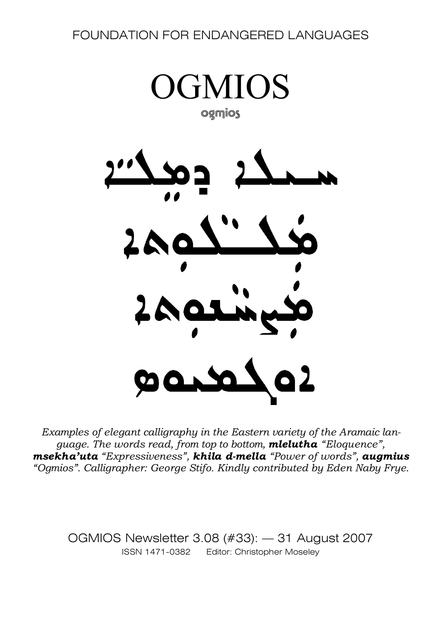# FOUNDATION FOR ENDANGERED LANGUAGES



# ogmios



*Examples of elegant calligraphy in the Eastern variety of the Aramaic language. The words read, from top to bottom, mlelutha "Eloquence", msekha'uta "Expressiveness", khila d-mella "Power of words", augmius "Ogmios". Calligrapher: George Stifo. Kindly contributed by Eden Naby Frye.*

OGMIOS Newsletter 3.08 (#33): — 31 August 2007 ISSN 1471-0382 Editor: Christopher Moseley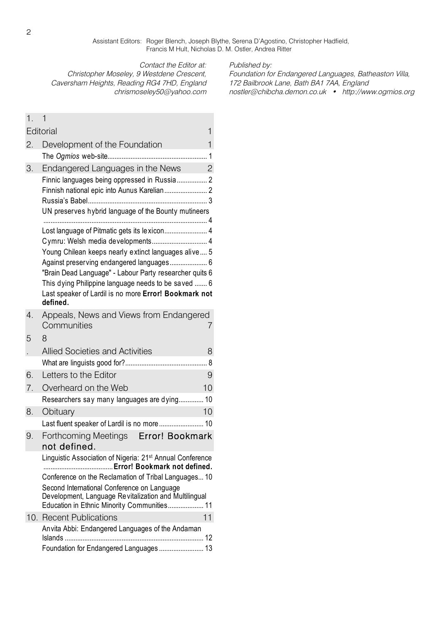Assistant Editors: Roger Blench, Joseph Blythe, Serena D'Agostino, Christopher Hadfield, Francis M Hult, Nicholas D. M. Ostler, Andrea Ritter

Contact the Editor at: Christopher Moseley, 9 Westdene Crescent, Caversham Heights, Reading RG4 7HD, England chrismoseley50@yahoo.com

| 1.               | 1                                                                                                            |
|------------------|--------------------------------------------------------------------------------------------------------------|
|                  | Editorial<br>1                                                                                               |
| 2.               | Development of the Foundation<br>1                                                                           |
|                  |                                                                                                              |
| 3.               | Endangered Languages in the News<br>2                                                                        |
|                  | Finnic languages being oppressed in Russia 2<br>UN preserves hybrid language of the Bounty mutineers         |
|                  | Lost language of Pitmatic gets its lexicon 4                                                                 |
|                  | Cymru: Welsh media developments 4                                                                            |
|                  | Young Chilean keeps nearly extinct languages alive 5                                                         |
|                  | Against preserving endangered languages 6                                                                    |
|                  | "Brain Dead Language" - Labour Party researcher quits 6                                                      |
|                  | This dying Philippine language needs to be saved  6<br>Last speaker of Lardil is no more Error! Bookmark not |
|                  | defined.                                                                                                     |
| $\overline{4}$ . | Appeals, News and Views from Endangered<br>Communities<br>$\sqrt{2}$                                         |
| 5                | 8                                                                                                            |
|                  | <b>Allied Societies and Activities</b><br>8                                                                  |
|                  |                                                                                                              |
| 6.               | Letters to the Editor<br>9                                                                                   |
| 7.               | Overheard on the Web<br>10                                                                                   |
|                  | Researchers say many languages are dying 10                                                                  |
| 8.               | 10<br>Obituary                                                                                               |
|                  | Last fluent speaker of Lardil is no more 10                                                                  |
| 9.               | Forthcoming Meetings Error! Bookmark<br>not defined                                                          |
|                  | Linguistic Association of Nigeria: 21 <sup>st</sup> Annual Conference                                        |
|                  | Conference on the Reclamation of Tribal Languages 10                                                         |
|                  | Second International Conference on Language<br>Development, Language Revitalization and Multilingual         |
|                  | Education in Ethnic Minority Communities 11                                                                  |
|                  | 10. Recent Publications<br>11                                                                                |
|                  | Anvita Abbi: Endangered Languages of the Andaman<br>Foundation for Endangered Languages  13                  |

Published by:

Foundation for Endangered Languages, Batheaston Villa, 172 Bailbrook Lane, Bath BA1 7AA, England nostler@chibcha.demon.co.uk • http://www.ogmios.org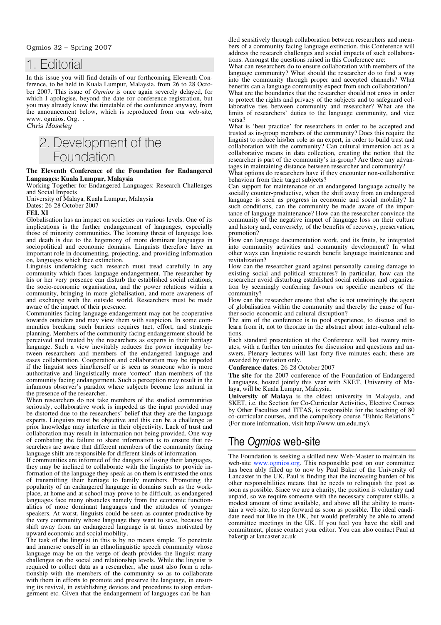Ogmios 32 – Spring 2007

# 1. Editorial

In this issue you will find details of our forthcoming Eleventh Conference, to be held in Kuala Lumpur, Malaysia, from 26 to 28 October 2007. This issue of *Ogmios* is once again severely delayed, for which I apologise, beyond the date for conference registration, but you may already know the timetable of the conference anyway, from the announcement below, which is reproduced from our web-site, www. ogmios. Org. . *Chris Moseley*

2. Development of the Foundation

**The Eleventh Conference of the Foundation for Endangered Languages: Kuala Lumpur, Malaysia** 

Working Together for Endangered Languages: Research Challenges and Social Impacts

University of Malaya, Kuala Lumpur, Malaysia Dates: 26-28 October 2007

### **FEL XI**

Globalisation has an impact on societies on various levels. One of its implications is the further endangerment of languages, especially those of minority communities. The looming threat of language loss and death is due to the hegemony of more dominant languages in sociopolitical and economic domains. Linguists therefore have an important role in documenting, projecting, and providing information on, languages which face extinction.

Linguists undertaking such research must tread carefully in any community which faces language endangerment. The researcher by his or her very presence can disturb the established social relations, the socio-economic organisation, and the power relations within a community, bringing in more globalisation, and more awareness of and exchange with the outside world. Researchers must be made aware of the impact of their presence.

Communities facing language endangerment may not be cooperative towards outsiders and may view them with suspicion. In some communities breaking such barriers requires tact, effort, and strategic planning. Members of the community facing endangerment should be perceived and treated by the researchers as experts in their heritage language. Such a view inevitably reduces the power inequality between researchers and members of the endangered language and eases collaboration. Cooperation and collaboration may be impeded if the linguist sees him/herself or is seen as someone who is more authoritative and linguistically more 'correct' than members of the community facing endangerment. Such a perception may result in the infamous observer's paradox where subjects become less natural in the presence of the researcher.

When researchers do not take members of the studied communities seriously, collaborative work is impeded as the input provided may be distorted due to the researchers' belief that they are the language experts. Linguists must be objective and this can be a challenge as prior knowledge may interfere in their objectivity. Lack of trust and collaboration may result in information not being provided. One way of combating the failure to share information is to ensure that re- searchers are aware that different members of the community facing language shift are responsible for different kinds of information.

If communities are informed of the dangers of losing their languages, they may be inclined to collaborate with the linguists to provide information of the language they speak as on them is entrusted the onus of transmitting their heritage to family members. Promoting the popularity of an endangered language in domains such as the workplace, at home and at school may prove to be difficult, as endangered languages face many obstacles namely from the economic functionalities of more dominant languages and the attitudes of younger speakers. At worst, linguists could be seen as counter-productive by the very community whose language they want to save, because the shift away from an endangered language is at times motivated by upward economic and social mobility.

The task of the linguist in this is by no means simple. To penetrate and immerse oneself in an ethnolinguistic speech community whose language may be on the verge of death provides the linguist many challenges on the social and relationship levels. While the linguist is required to collect data as a researcher, s/he must also form a relationship with the members of the community so as to collaborate with them in efforts to promote and preserve the language, in ensuring its revival, in establishing devices and procedures to stop endangerment etc. Given that the endangerment of languages can be handled sensitively through collaboration between researchers and members of a community facing language extinction, this Conference will address the research challenges and social impacts of such collaborations. Amongst the questions raised in this Conference are:

What can researchers do to ensure collaboration with members of the language community? What should the researcher do to find a way into the community through proper and accepted channels? What benefits can a language community expect from such collaboration?

What are the boundaries that the researcher should not cross in order to protect the rights and privacy of the subjects and to safeguard collaborative ties between community and researcher? What are the limits of researchers' duties to the language community, and vice versa?

What is 'best practice' for researchers in order to be accepted and trusted as in-group members of the community? Does this require the linguist to reduce his/her role as an expert, in order to build trust and collaboration with the community? Can cultural immersion act as a collaborative means in data collection, creating the notion that the researcher is part of the community's in-group? Are there any advantages in maintaining distance between researcher and community?

What options do researchers have if they encounter non-collaborative behaviour from their target subjects?

Can support for maintenance of an endangered language actually be socially counter-productive, when the shift away from an endangered language is seen as progress in economic and social mobility? In such conditions, can the community be made aware of the importance of language maintenance? How can the researcher convince the community of the negative impact of language loss on their culture and history and, conversely, of the benefits of recovery, preservation, promotion?

How can language documentation work, and its fruits, be integrated into community activities and community development? In what other ways can linguistic research benefit language maintenance and revitalization?

How can the researcher guard against personally causing damage to existing social and political structures? In particular, how can the researcher avoid disturbing established social relations and organization by seemingly conferring favours on specific members of the community?

How can the researcher ensure that s/he is not unwittingly the agent of globalisation within the community and thereby the cause of further socio-economic and cultural disruption?

The aim of the conference is to pool experience, to discuss and to learn from it, not to theorize in the abstract about inter-cultural rela- tions.

Each standard presentation at the Conference will last twenty minutes, with a further ten minutes for discussion and questions and answers. Plenary lectures will last forty-five minutes each; these are awarded by invitation only.

**Conference dates**: 26-28 October 2007

**The site** for the 2007 conference of the Foundation of Endangered Languages, hosted jointly this year with SKET, University of Malaya, will be Kuala Lumpur, Malaysia.

**University of Malaya** is the oldest university in Malaysia, and SKET, i.e. the Section for Co-Curricular Activities, Elective Courses by Other Faculties and TITAS, is responsible for the teaching of 80 co-curricular courses, and the compulsory course "Ethnic Relations." (For more information, visit http://www.um.edu.my).

## The *Ogmios* web-site

The Foundation is seeking a skilled new Web-Master to maintain its web-site www.ogmios.org. This responsible post on our committee has been ably filled up to now by Paul Baker of the University of Lancaster in the UK. Paul is finding that the increasing burden of his other responsibilities means that he needs to relinquish the post as soon as possible. Since we are a charity, the position is voluntary and unpaid, so we require someone with the necessary computer skills, a modest amount of time available, and above all the ability to maintain a web-site, to step forward as soon as possible. The ideal candidate need not like in the UK, but would preferably be able to attend committee meetings in the UK. If you feel you have the skill and commitment, please contact your editor. You can also contact Paul at bakerjp at lancaster.ac.uk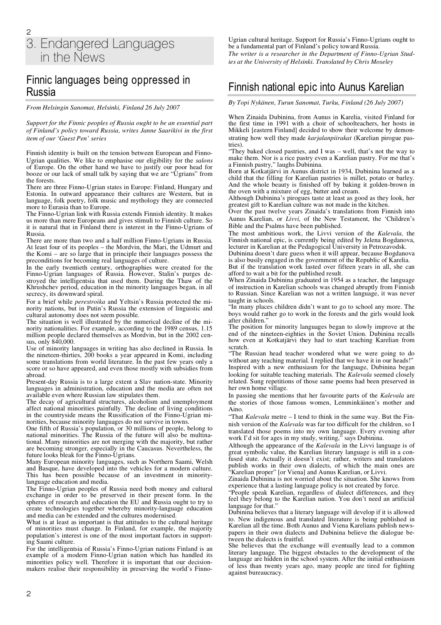# 3. Endangered Languages in the News

## Finnic languages being oppressed in Russia

*From Helsingin Sanomat, Helsinki, Finland 26 July 2007*

*Support for the Finnic peoples of Russia ought to be an essential part of Finland's policy toward Russia, writes Janne Saarikivi in the first item of our 'Guest Pen' series*

Finnish identity is built on the tension between European and Finno-Ugrian qualities. We like to emphasise our eligibility for the *salons* of Europe. On the other hand we have to justify our poor head for booze or our lack of small talk by saying that we are "Ugrians" from the forests.

There are three Finno-Ugrian states in Europe: Finland, Hungary and Estonia. In outward appearance their cultures are Western, but in language, folk poetry, folk music and mythology they are connected more to Eurasia than to Europe.

The Finno-Ugrian link with Russia extends Finnish identity. It makes us more than mere Europeans and gives stimuli to Finnish culture. So it is natural that in Finland there is interest in the Finno-Ugrians of Russia.

There are more than two and a half million Finno-Ugrians in Russia. At least four of its peoples – the Mordvin, the Mari, the Udmurt and the Komi – are so large that in principle their languages possess the preconditions for becoming real languages of culture.

In the early twentieth century, orthographies were created for the Finno-Ugrian languages of Russia. However, Stalin's purges destroyed the intelligentsia that used them. During the Thaw of the Khrushchev period, education in the minority languages began, in all secrecy, its downward spiral.

For a brief while *perestroika* and Yeltsin's Russia protected the minority nations, but in Putin's Russia the extension of linguistic and cultural autonomy does not seem possible.

The situation is well illustrated by the numerical decline of the minority nationalities. For example, according to the 1989 census, 1.15 million people declared themselves as Mordvin, but in the 2002 census, only 840,000.

Use of minority languages in writing has also declined in Russia. In the nineteen-thirties, 200 books a year appeared in Komi, including some translations from world literature. In the past few years only a score or so have appeared, and even those mostly with subsidies from abroad.

Present-day Russia is to a large extent a Slav nation-state. Minority languages in administration, education and the media are often not available even where Russian law stipulates them.

The decay of agricultural structures, alcoholism and unemployment affect national minorities painfully. The decline of living conditions in the countryside means the Russification of the Finno-Ugrian minorities, because minority languages do not survive in towns.

One fifth of Russia's population, or 30 millions of people, belong to tional. Many minorities are not merging with the majority, but rather are becoming stronger, especially in the Caucasus. Nevertheless, the future looks bleak for the Finno-Ugrians.

Many European minority languages, such as Northern Saami, Welsh and Basque, have developed into the vehicles for a modern culture. This has been possible because of an investment in minority- language education and media.

The Finno-Ugrian peoples of Russia need both money and cultural exchange in order to be preserved in their present form. In the spheres of research and education the EU and Russia ought to try to create technologies together whereby minority-language education and media can be extended and the cultures modernised.

What is at least as important is that attitudes to the cultural heritage of minorities must change. In Finland, for example, the majority population's interest is one of the most important factors in supporting Saami culture.

For the intelligentsia of Russia's Finno-Ugrian nations Finland is an example of a modern Finno-Ugrian nation which has handled its minorities policy well. Therefore it is important that our decisionmakers realise their responsibility in preserving the world's Finno-

Ugrian cultural heritage. Support for Russia's Finno-Ugrians ought to be a fundamental part of Finland's policy toward Russia. *The writer is a researcher in the Department of Finno-Ugrian Studies at the University of Helsinki. Translated by Chris Moseley*

## Finnish national epic into Aunus Karelian

*By Topi Nykänen, Turun Sanomat, Turku, Finland (26 July 2007)*

When Zinaida Dubinina, from Aunus in Karelia, visited Finland for the first time in 1991 with a choir of schoolteachers, her hosts in Mikkeli [eastern Finland] decided to show their welcome by demonstrating how well they made *karjalanpiirakat* (Karelian pirogue pastries).

"They baked closed pastries, and I was – well, that's not the way to make them. Nor is a rice pastry even a Karelian pastry. For me that's a Finnish pastry," laughs Dubinina.

Born at Kotkatjärvi in Aunus district in 1934, Dubinina learned as a child that the filling for Karelian pastries is millet, potato or barley. And the whole beauty is finished off by baking it golden-brown in the oven with a mixture of egg, butter and cream.

Although Dubinina's pirogues taste at least as good as they look, her greatest gift to Karelian culture was not made in the kitchen.

Over the past twelve years Zinaida's translations from Finnish into Aunus Karelian, or *Livvi,* of the New Testament, the 'Children's Bible and the Psalms have been published.

The most ambitious work, the Livvi version of the *Kalevala,* the Finnish national epic, is currently being edited by Jelena Bogdanova, lecturer in Karelian at the Pedagogical University in Petrozavodsk.

Dubinina doesn't dare guess when it will appear, because Bogdanova is also busily engaged in the government of the Republic of Karelia. But if the translation work lasted over fifteen years in all, she can

afford to wait a bit for the published result. When Zinaida Dubinina graduated in 1954 as a teacher, the language of instruction in Karelian schools was changed abruptly from Finnish to Russian. Since Karelian was not a written language, it was never

taught in schools. "In many places children didn't want to go to school any more. The boys would rather go to work in the forests and the girls would look after children."

The position for minority languages began to slowly improve at the end of the nineteen-eighties in the Soviet Union. Dubinina recalls how even at Kotkatjärvi they had to start teaching Karelian from scratch.

"The Russian head teacher wondered what we were going to do without any teaching material. I replied that we have it in our heads!" Inspired with a new enthusiasm for the language, Dubinina began looking for suitable teaching materials. The *Kalevala* seemed closely related. Sung repetitions of those same poems had been preserved in her own home village.

In passing she mentions that her favourite parts of the *Kalevala* are the stories of those famous women, Lemminkäinen's mother and Aino.

"That *Kalevala* metre – I tend to think in the same way. But the Finnish version of the *Kalevala* was far too difficult for the children, so I translated those poems into my own language. Every evening after work I'd sit for ages in my study, writing," says Dubinina.

Although the appearance of the *Kalevala* in the Livvi language is of great symbolic value, the Karelian literary language is still in a confused state. Actually it doesn't exist; rather, writers and translators publish works in their own dialects, of which the main ones are "Karelian proper" [or Viena] and Aunus Karelian, or Livvi.

Zinaida Dubinina is not worried about the situation. She knows from experience that a lasting language policy is not created by force.

"People speak Karelian, regardless of dialect differences, and they feel they belong to the Karelian nation. You don't need an artificial language for that."

Dubinina believes that a literary language will develop if it is allowed to. New indigenous and translated literature is being published in Karelian all the time. Both Aunus and Viena Karelians publish newspapers in their own dialects and Dubinina believe the dialogue be- tween the dialects is fruitful.

She believes that the exchange will eventually lead to a common literary language. The biggest obstacles to the development of the language are hidden in the school system. After the initial enthusiasm of less than twenty years ago, many people are tired for fighting against bureaucracy.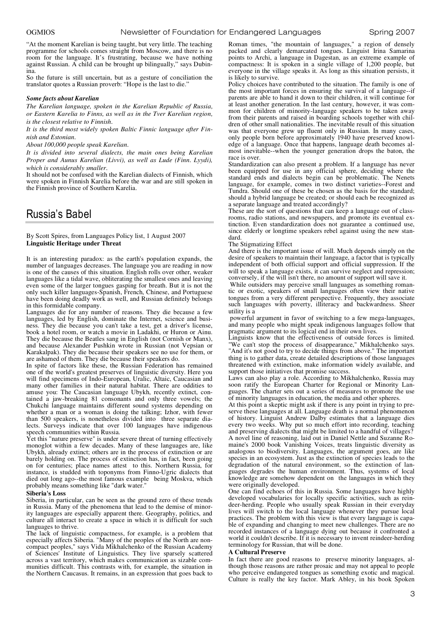"At the moment Karelian is being taught, but very little. The teaching programme for schools comes straight from Moscow, and there is no room for the language. It's frustrating, because we have nothing against Russian. A child can be brought up bilingually," says Dubinina.

So the future is still uncertain, but as a gesture of conciliation the translator quotes a Russian proverb: "Hope is the last to die."

#### *Some facts about Karelian*

*The Karelian language, spoken in the Karelian Republic of Russia, or Eastern Karelia to Finns, as well as in the Tver Karelian region, is the closest relative to Finnish.*

*It is the third most widely spoken Baltic Finnic language after Finnish and Estonian.*

*About 100,000 people speak Karelian.*

*It is divided into several dialects, the main ones being Karelian Proper and Aunus Karelian (Livvi), as well as Lude (Finn. Lyydi), which is considerably smaller.* 

It should not be confused with the Karelian dialects of Finnish, which were spoken in Finnish Karelia before the war and are still spoken in the Finnish province of Southern Karelia.

### Russia's Babel

By Scott Spires, from Languages Policy list, 1 August 2007 **Linguistic Heritage under Threat**

It is an interesting paradox: as the earth's population expands, the number of languages decreases. The language you are reading in now is one of the causes of this situation. English rolls over other, weaker languages like a tidal wave, obliterating the smallest ones and leaving even some of the larger tongues gasping for breath. But it is not the only such killer languages-Spanish, French, Chinese, and Portuguese have been doing deadly work as well, and Russian definitely belongs in this formidable company.

Languages die for any number of reasons. They die because a few languages, led by English, dominate the Internet, science and business. They die because you can't take a test, get a driver's license, book a hotel room, or watch a movie in Ladakhi, or Huron or Ainu. They die because the Beatles sang in English (not Cornish or Manx), and because Alexander Pushkin wrote in Russian (not Vepsian or Karakalpak). They die because their speakers see no use for them, or are ashamed of them. They die because their speakers do.

In spite of factors like these, the Russian Federation has remained one of the world's greatest preserves of linguistic diversity. Here you will find specimens of Indo-European, Uralic, Altaic, Caucasian and many other families in their natural habitat. There are oddities to amuse you: The Caucasian language Ubykh, recently extinct, contained a jaw-breaking 81 consonants and only three vowels; the Chukchi language maintains different sound systems depending on whether a man or a woman is doing the talking; Izhor, with fewer than 500 speakers, is nonetheless divided into three separate dialects. Surveys indicate that over 100 languages have indigenous speech communities within Russia.

Yet this "nature preserve" is under severe threat of turning effectively monoglot within a few decades. Many of these languages are, like Ubykh, already extinct; others are in the process of extinction or are barely holding on. The process of extinction has, in fact, been going on for centuries; place names attest to this. Northern Russia, for instance, is studded with toponyms from Finno-Ugric dialects that died out long ago--the most famous example being Moskva, which probably means something like "dark water."

#### **Siberia's Loss**

Siberia, in particular, can be seen as the ground zero of these trends in Russia. Many of the phenomena that lead to the demise of minority languages are especially apparent there. Geography, politics, and culture all interact to create a space in which it is difficult for such languages to thrive.

The lack of linguistic compactness, for example, is a problem that especially affects Siberia. "Many of the peoples of the North are noncompact peoples," says Vida Mikhalchenko of the Russian Academy of Sciences' Institute of Linguistics. They live sparsely scattered across a vast territory, which makes communication as sizable communities difficult. This contrasts with, for example, the situation in the Northern Caucasus. It remains, in an expression that goes back to Roman times, "the mountain of languages," a region of densely packed and clearly demarcated tongues. Linguist Irina Samarina points to Archi, a language in Dagestan, as an extreme example of compactness: It is spoken in a single village of 1,200 people, but everyone in the village speaks it. As long as this situation persists, it is likely to survive.

Policy choices have contributed to the situation. The family is one of the most important forces in ensuring the survival of a language--if parents are able to hand it down to their children, it will continue for at least another generation. In the last century, however, it was common for children of minority-language speakers to be taken away from their parents and raised in boarding schools together with children of other small nationalities. The inevitable result of this situation was that everyone grew up fluent only in Russian. In many cases, only people born before approximately 1940 have preserved knowledge of a language. Once that happens, language death becomes almost inevitable--when the younger generation drops the baton, the

Standardization can also present a problem. If a language has never been equipped for use in any official sphere, deciding where the standard ends and dialects begin can be problematic. The Nenets language, for example, comes in two distinct varieties--Forest and Tundra. Should one of these be chosen as the basis for the standard; should a hybrid language be created; or should each be recognized as

a separate language and treated accordingly?<br>These are the sort of questions that can keep a language out of classrooms, radio stations, and newspapers, and promote its eventual extinction. Even standardization does not guarantee a continued use, since elderly or longtime speakers rebel against using the new standard.

#### The Stigmatizing Effect

And there is the important issue of will. Much depends simply on the desire of speakers to maintain their language, a factor that is typically independent of both official support and official suppression. If the will to speak a language exists, it can survive neglect and repression; conversely, if the will isn't there, no amount of support will save it.

 While outsiders may perceive small languages as something romantic or exotic, speakers of small languages often view their native tongues from a very different perspective. Frequently, they associate such languages with poverty, illiteracy and backwardness. Sheer utility is a

 powerful argument in favor of switching to a few mega-languages, and many people who might speak indigenous languages follow that pragmatic argument to its logical end in their own lives.

Linguists know that the effectiveness of outside forces is limited. "We can't stop the process of disappearance," Mikhalchenko says. "And it's not good to try to decide things from above." The important thing is to gather data, create detailed descriptions of those languages threatened with extinction, make information widely available, and support those initiatives that promise success.

Laws can also play a role. According to Mikhalchenko, Russia may soon ratify the European Charter for Regional or Minority Languages. The charter sets out a series of measures to promote the use of minority languages in education, the media and other spheres.

At this point a skeptic might ask if there is any point in trying to preserve these languages at all. Language death is a normal phenomenon of history. Linguist Andrew Dalby estimates that a language dies every two weeks. Why put so much effort into recording, teaching and preserving dialects that might be limited to a handful of villages? A novel line of reasoning, laid out in Daniel Nettle and Suzanne Romaine's 2000 book Vanishing Voices, treats linguistic diversity as analogous to biodiversity. Languages, the argument goes, are like species in an ecosystem. Just as the extinction of species leads to the degradation of the natural environment, so the extinction of languages degrades the human environment. Thus, systems of local knowledge are somehow dependent on the languages in which they were originally developed.

One can find echoes of this in Russia. Some languages have highly developed vocabularies for locally specific activities, such as rein- deer-herding. People who usually speak Russian in their everyday lives will switch to the local language whenever they pursue local practices. The problem with this view is that every language is capable of expanding and changing to meet new challenges. There are no recorded instances of a language dying out because it confronted a world it couldn't describe. If it is necessary to invent reindeer-herding terminology for Russian, that will be done.

#### **A Cultural Preserve**

In fact there are good reasons to preserve minority languages, although those reasons are rather prosaic and may not appeal to people who perceive endangered tongues as something exotic and magical. Culture is really the key factor. Mark Abley, in his book Spoken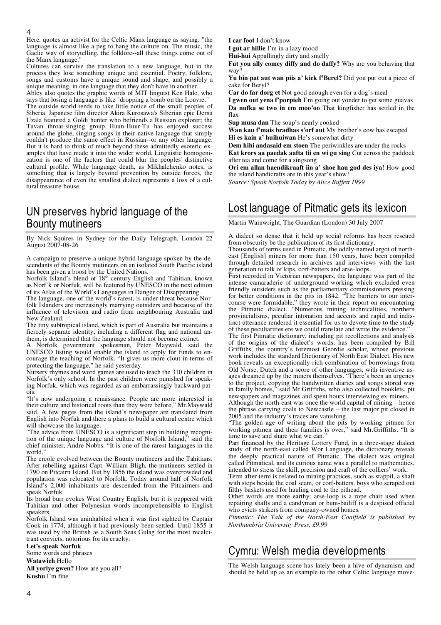Here, quotes an activist for the Celtic Manx language as saying: "the language is almost like a peg to hang the culture on. The music, the Gaelic way of storytelling, the folklore--all these things come out of the Manx language."

Cultures can survive the translation to a new language, but in the process they lose something unique and essential. Poetry, folklore, songs and customs have a unique sound and shape, and possibly a unique meaning, in one language that they don't have in another.

Abley also quotes the graphic words of MIT linguist Ken Hale, who says that losing a language is like "dropping a bomb on the Louvre."

The outside world tends to take little notice of the small peoples of Siberia. Japanese film director Akira Kurosawa's Siberian epic Dersu Uzala featured a Goldi hunter who befriends a Russian explorer; the Tuvan throat-singing group Huun-Huur-Tu has enjoyed success around the globe, singing songs in their native language that simply couldn't produce the same effect in Russian--or any other language. But it is hard to think of much beyond these admittedly esoteric examples that have made it into the wider world. Linguistic homogenization is one of the factors that could blur the peoples' distinctive cultural profile. While language death, as Mikhalchenko notes, is something that is largely beyond prevention by outside forces, the disappearance of even the smallest dialect represents a loss of a cultural treasure-house.

# UN preserves hybrid language of the Bounty mutineers

By Nick Squires in Sydney for the Daily Telegraph, London 22 August 2007-08-26

A campaign to preserve a unique hybrid language spoken by the descendants of the Bounty mutineers on an isolated South Pacific island has been given a boost by the United Nations.

Norfolk Island's blend of 18<sup>th</sup> century English and Tahitian, known as Norf'k or Norfuk, will be featured by UNESCO in the next edition of its Atlas of the World's Languages in Danger of Disappearing.

The language, one of the world's rarest, is under threat because Norfolk Islanders are increasingly marrying outsiders and because of the influence of television and radio from neighbouring Australia and New Zealand.

The tiny subtropical island, which is part of Australia but maintains a fiercely separate identity, including a different flag and national anthem, is determined that the language should not become extinct.

A Norfolk government spokesman, Peter Maywald, said the UNESCO listing would enable the island to apply for funds to encourage the teaching of Norfolk. "It gives us more clout in terms of protecting the language," he said yesterday.

Nursery rhymes and word games are used to teach the 310 children in Norfolk's only school. In the past children were punished for speaking Norfuk, which was regarded as an embarrassingly backward patois.

"It's now undergoing a renaissance. People are more interested in their culture and historical roots than they were before," Mr.Maywald said. A few pages from the island's newspaper are translated from English into Norfuk and there a plans to build a cultural centre which will showcase the language.

"The advice from UNESCO is a significant step in building recognition of the unique language and culture of Norfolk Island," said the chief minister, Andre Nobbs. "It is one of the rarest languages in the world."

The creole evolved between the Bounty mutineers and the Tahitians. After rebelling against Capt. William Bligh, the mutineers settled in 1790 on Pitcairn Island. But by 1856 the island was overcrowded and population was relocated to Norfolk. Today around half of Norfolk Island's 2,000 inhabitants are descended from the Pitcairners and speak Norfuk.

Its broad burr evokes West Country English, but it is peppered with Tahitian and other Polynesian words incomprehensible to English speakers.

Norfolk Island was uninhabited when it was first sighted by Captain Cook in 1774, although it had previously been settled. Until 1855 it was used by the British as a South Seas Gulag for the most recalcitrant convicts, notorious for its cruelty.

**Let's speak Norfuk** Some words and phrases **Watawieh** Hello **All yorlye gwen?** How are you all? **Kushu** I'm fine

**I car foot** I don't know

**I gut ar hillie** I'm in a lazy mood

**Hui-hui** Appallingly dirty and smelly

**Fut you ally comey diffy and do daffy?** Why are you behaving that way?

**Yu bin pat aut wan piis a' kiek f'Berel?** Did you put out a piece of cake for Beryl?

**Car do far dorg et** Not good enough even for a dog's meal

**I gwen out yena f'porpieh** I'm going out yonder to get some guavas **Da nufka se two in em moo'oo** That kingfisher has settled in the flax

**Sup musa dan** The soup's nearly cooked

**Wan kau f'mais bradhas s'orf aut** My brother's cow has escaped **Hi es kain a' huihuiwan** He's somewhat dirty

**Dem hihi andasaid em stoen** The periwinkles are under the rocks Kat krors aa paedak aafta tii en wi gu sing Cut across the paddock after tea and come for a singsong

**Ori em allan haendikraaft iin a' shoe hau god des iya!** How good the island handicrafts are in this year's show!

*Source: Speak Norfolk Today by Alice Buffett 1999* 

# Lost language of Pitmatic gets its lexicon

Martin Wainwright, The Guardian (London) 30 July 2007

A dialect so dense that it held up social reforms has been rescued from obscurity be the publication of its first dictionary.

Thousands of terms used in Pitmatic, the oddly-named argot of northeast [English] miners for more than 150 years, have been compiled through detailed research in archives and interviews with the last generation to talk of kips, corf-batters and arse-loops.

First recorded in Victorian newspapers, the language was part of the intense camaraderie of underground working which excluded even friendly outsiders such as the parliamentary commissioners pressing for better conditions in the pits in 1842. "The barriers to our interfor better conditions in the pits in 1842. "The barriers to our inter- course were formidable," they wrote in their report on encountering the Pitmatic dialect. "Numerous mining technicalities, northern provincialisms, peculiar intonation and accents and rapid and indistinct utterance rendered it essential for us to devote time to the study of these peculiarities ere we could translate and write the evidence."

The first Pitmatic dictionary, including pit recollections and analysis of the origins of the dialect's words, has been compiled by Bill Griffiths, the country's foremost Geordie scholar, whose previous work includes the standard Dictionary of North East Dialect. His new book reveals an exceptionally rich combination of borrowings from Old Norse, Dutch and a score of other languages, with inventive usages dreamed up by the miners themselves. "There's been an urgency to the project, copying the handwritten diaries and songs stored way in family homes," said Mr.Griffiths, who also collected booklets, pit newspapers and magazines and spent hours interviewing ex-miners.

Although the north-east was once the world capital of mining – hence the phrase carrying coals to Newcastle – the last major pit closed in 2005 and the industry's traces are vanishing.

"The golden age of writing about the pits by working pitmen for working pitmen and their families is over," said Mr.Griffiths. "It is time to save and share what we can."

Part financed by the Heritage Lottery Fund, in a three-stage dialect study of the north-east called Wor Language, the dictionary reveals the deeply practical nature of Pitmatic. The dialect was original called Pitmatical, and its curious name was a parallel to mathematics, intended to stress the skill, precision and craft of the colliers' work.

Term after term is related to mining practices, such as stappil, a shaft with steps beside the coal seam, or corf-batters, boys who scraped out filthy baskets used for hauling coal to the pithead.

Other words are more earthy: arse-loop is a rope chair used when repairing shafts and a candyman or bum-bailiff is a despised official who evicts strikers from company-owned homes.

*Pitmatic: The Talk of the North-East Coalfield is published by Northumbria University Press, £9.99* 

## Cymru: Welsh media developments

The Welsh language scene has lately been a hive of dynamism and should be held up as an example to the other Celtic language move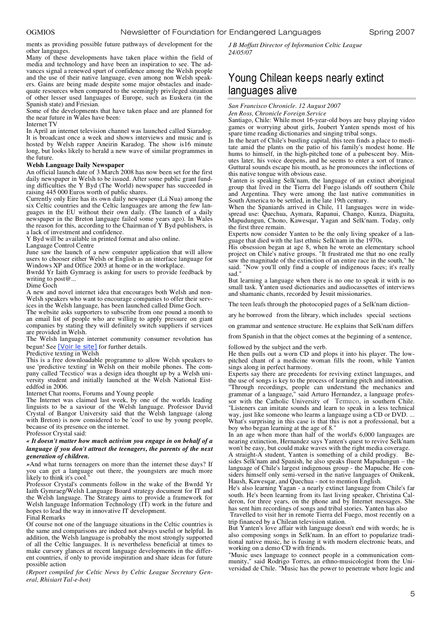ments as providing possible future pathways of development for the other languages.

Many of these developments have taken place within the field of media and technology and have been an inspiration to see. The advances signal a renewed spurt of confidence among the Welsh people and the use of their native language, even among non Welsh speakers. Gains are being made despite some major obstacles and inadequate resources when compared to the seemingly privileged situation of other lesser used languages of Europe, such as Euskera (in the Spanish state) and Friesian.

Some of the developments that have taken place and are planned for the near future in Wales have been:

#### Internet TV

In April an internet television channel was launched called Siaradog. It is broadcast once a week and shows interviews and music and is hosted by Welsh rapper Aneirin Karadog. The show is16 minute long, but looks likely to herald a new wave of similar programmes in the future.

### **Welsh Language Daily Newspaper**

An official launch date of 3 March 2008 has now been set for the first daily newspaper in Welsh to be issued. After some public grant funding difficulties the Y Byd (The World) newspaper has succeeded in raising 445 000 Euros worth of public shares.

Currently only Eire has its own daily newspaper (Lá Nua) among the six Celtic countries and the Celtic languages are among the few languages in the EU without their own daily. (The launch of a daily newspaper in the Breton language failed some years ago). In Wales the reason for this, according to the Chairman of Y Byd publishers, is a lack of investment and confidence.

Y Byd will be available in printed format and also online.

Language Control Centre

June saw the launch of a new computer application that will allow users to chooser either Welsh or English as an interface language for Windows XP and Office 2003 at home or in the workplace.

Bwrdd Yr Iaith Gymraeg is asking for users to provide feedback by writing to  $post@...$ 

Dime Goch

A new and novel internet idea that encourages both Welsh and non-Welsh speakers who want to encourage companies to offer their services in the Welsh language, has been launched called Dime Goch.

The website asks supporters to subscribe from one pound a month to an email list of people who are willing to apply pressure on giant companies by stating they will definitely switch suppliers if services are provided in Welsh.

The Welsh language internet community consumer revolution has begun! See **[Voir le site]** for further details.

Predictive texting in Welsh

This is a free downloadable programme to allow Welsh speakers to use 'predictive texting' in Welsh on their mobile phones. The company called 'Tecstico' was a design idea thought up by a Welsh university student and initially launched at the Welsh National Eisteddfod in 2006.

Internet Chat rooms, Forums and Young people

The Internet was claimed last week, by one of the worlds leading linguists to be a saviour of the Welsh language. Professor David Crystal of Bangor University said that the Welsh language (along with Breton) is now considered to be 'cool' to use by young people, because of its presence on the internet.

Professor Crystal said:

#### *« It doesn't matter how much activism you engage in on behalf of a language if you don't attract the teenagers, the parents of the next generation of children.*

*»*And what turns teenagers on more than the internet these days? If you can get a language out there, the youngsters are much more likely to think it's cool.

Professor Crystal's comments follow in the wake of the Bwrdd Yr Iaith Gymraeg/Welsh Language Board strategy document for IT and the Welsh language. The Strategy aims to provide a framework for Welsh language Information Technology (IT) work in the future and hopes to lead the way in innovative IT development.

Final Remarks

Of course not one of the language situations in the Celtic countries is the same and comparisons are indeed not always useful or helpful. In addition, the Welsh language is probably the most strongly supported of all the Celtic languages. It is nevertheless beneficial at times to make cursory glances at recent language developments in the different countries, if only to provide inspiration and share ideas for future possible action

*(Report compiled for Celtic News by Celtic League Secretary General, Rhisiart Tal-e-bot)* 

*J B Moffatt Director of Information Celtic League 24/05/07* 

# Young Chilean keeps nearly extinct languages alive

*San Francisco Chronicle. 12 August 2007*

*Jen Ross, Chronicle Foreign Service*

Santiago, Chile: While most 16-year-old boys are busy playing video games or worrying about girls, Joubert Yanten spends most of his spare time reading dictionaries and singing tribal songs.

In the heart of Chile's bustling capital, this teen finds a place to meditate amid the plants on the patio of his family's modest home. He hums to himself, in the high-pitched tone of a pubescent boy. Minutes later, his voice deepens, and he seems to enter a sort of trance. Guttural sounds escape his mouth, as he pronounces the inflections of this native tongue with obvious ease.

Yanten is speaking Selk'nam, the language of an extinct aboriginal group that lived in the Tierra del Fuego islands off southern Chile and Argentina. They were among the last native communities in South America to be settled, in the late 19th century.

When the Spaniards arrived in Chile, 11 languages were in widespread use: Quechua, Aymara, Rapanui, Chango, Kunza, Diaguita, Mapudungun, Chono, Kawesqar, Yagan and Selk'nam. Today, only the first three remain.

Experts now consider Yanten to be the only living speaker of a language that died with the last ethnic Selk'nam in the 1970s.

His obsession began at age 8, when he wrote an elementary school project on Chile's native groups. "It frustrated me that no one really saw the magnitude of the extinction of an entire race in the south," he said. "Now you'll only find a couple of indigenous faces; it's really sad."

But learning a language when there is no one to speak it with is no small task. Yanten used dictionaries and audiocassettes of interviews and shamanic chants, recorded by Jesuit missionaries.

The teen leafs through the photocopied pages of a Selk'nam diction-

ary he borrowed from the library, which includes special sections

on grammar and sentence structure. He explains that Selk'nam differs

from Spanish in that the object comes at the beginning of a sentence,

followed by the subject and the verb.

He then pulls out a worn CD and plops it into his player. The lowpitched chant of a medicine woman fills the room, while Yanten sings along in perfect harmony.

Experts say there are precedents for reviving extinct languages, and the use of songs is key to the process of learning pitch and intonation. "Through recordings, people can understand the mechanics and grammar of a language," said Arturo Hernandez, a language professor with the Catholic University of Temuco, in southern Chile. "Listeners can imitate sounds and learn to speak in a less technical way, just like someone who learns a language using a CD or DVD. ... What's surprising in this case is that this is not a professional, but a boy who began learning at the age of 8."

In an age when more than half of the world's 6,000 languages are nearing extinction, Hernandez says Yanten's quest to revive Selk'nam won't be easy, but could make waves with the right media coverage.

A straight-A student, Yanten is something of a child prodigy.  $\overline{B}$ esides Selk'nam and Spanish, he also speaks fluent Mapudungun – the language of Chile's largest indigenous group - the Mapuche. He considers himself only semi-versed in the native languages of Onikenk, Haush, Kawesqar, and Quechua - not to mention English.

He's also learning Yagan - a nearly extinct language from Chile's far south. He's been learning from its last living speaker, Christina Calderon, for three years, on the phone and by Internet messages. She has sent him recordings of songs and tribal stories. Yanten has also

 Travelled to visit her in remote Tierra del Fuego, most recently on a trip financed by a Chilean television station.

But Yanten's love affair with language doesn't end with words; he is also composing songs in Selk'nam. In an effort to popularize traditional native music, he is fusing it with modern electronic beats, and working on a demo CD with friends.

"Music uses language to connect people in a communication community," said Rodrigo Torres, an ethno-musicologist from the Universidad de Chile. "Music has the power to penetrate where logic and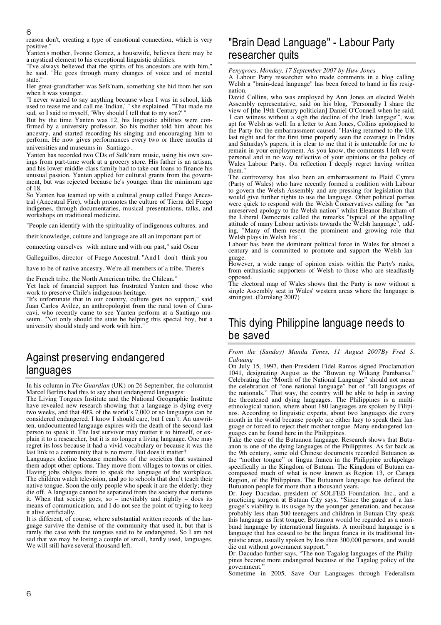6

reason don't, creating a type of emotional connection, which is very positive."

Yanten's mother, Ivonne Gomez, a housewife, believes there may be a mystical element to his exceptional linguistic abilities.

"I've always believed that the spirits of his ancestors are with him," he said. "He goes through many changes of voice and of mental state."

Her great-grandfather was Selk'nam, something she hid from her son when h was younger.

"I never wanted to say anything because when I was in school, kids used to tease me and call me 'Indian,' " she explained. "That made me sad, so I said to myself, 'Why should I tell that to my son?'

But by the time Yanten was 12, his linguistic abilities were confirmed by a university professor. So his mother told him about his ancestry, and started recording his singing and encouraging him to perform. He now gives performances every two or three months at universities and museums in Santiago.

Yanten has recorded two CDs of Selk'nam music, using his own savings from part-time work at a grocery store. His father is an artisan, and his lower-middle-class family had to take out loans to finance his unusual passion. Yanten applied for cultural grants from the government, but was rejected because he's younger than the minimum age of 18.

So Yanten has teamed up with a cultural group called Fuego Ancestral (Ancestral Fire), which promotes the culture of Tierra del Fuego indigenes, through documentaries, musical presentations, talks, and workshops on traditional medicine.

"People can identify with the spirituality of indigenous cultures, and

their knowledge, culture and language are all an important part of

connecting ourselves with nature and with our past," said Oscar

Galleguillos, director of Fuego Ancestral. "And I don't think you

have to be of native ancestry. We're all members of a tribe. There's

the French tribe. the North American tribe. the Chilean."

Yet lack of financial support has frustrated Yanten and those who work to preserve Chile's indigenous heritage.

"It's unfortunate that in our country, culture gets no support," said Juan Carlos Avilez, an anthropologist from the rural town of Curacavi, who recently came to see Yanten perform at a Santiago museum. "Not only should the state be helping this special boy, but a university should study and work with him.

# Against preserving endangered languages

In his column in *The Guardian* (UK) on 26 September, the columnist Marcel Berlins had this to say about endangered languages:

The Living Tongues Institute and the National Geographic Institute have revealed new research showing that a language is dying every two weeks, and that 40% of the world's 7,000 or so languages can be considered endangered. I know I should care, but I can't. An unwritten, undocumented language expires with the death of the second-last person to speak it. The last survivor may mutter it to himself, or explain it to a researcher, but it is no longer a living language. One may regret its loss because it had a vivid vocabulary or because it was the last link to a community that is no more. But does it matter?

Languages decline because members of the societies that sustained them adopt other options. They move from villages to towns or cities. Having jobs obliges them to speak the language of the workplace. The children watch television, and go to schools that don't teach their native tongue. Soon the only people who speak it are the elderly; they die off. A language cannot be separated from the society that nurtures it. When that society goes, so – inevitably and rightly – does its means of communication, and I do not see the point of trying to keep it alive artificially.

It is different, of course, where substantial written records of the language survive the demise of the community that used it, but that is rarely the case with the tongues said to be endangered. So I am not sad that we may be losing a couple of small, hardly used, languages. We will still have several thousand left.

### "Brain Dead Language" - Labour Party researcher quits

*Penygroes, Monday, 17 September 2007 by Huw Jones*

A Labour Party researcher who made comments in a blog calling Welsh a "brain-dead language" has been forced to hand in his resignation.

David Collins, who was employed by Ann Jones an elected Welsh Assembly representative, said on his blog, "Personally I share the view of [the 19th Century politician] Daniel O'Connell when he said, 'I can witness without a sigh the decline of the Irish langage'", was apt for Welsh as well. In a letter to Ann Jones, Collins apologised to the Party for the embarrassment caused. "Having returned to the UK last night and for the first time properly seen the coverage in Friday and Saturday's papers, it is clear to me that it is untenable for me to remain in your employment. As you know, the comments I left were personal and in no way reflective of your opinions or the policy of Wales Labour Party. On reflection I deeply regret having written them.

The controversy has also been an embarrassment to Plaid Cymru (Party of Wales) who have recently formed a coalition with Labour to govern the Welsh Assembly and are pressing for legislation that would give further rights to use the language. Other political parties were quick to respond with the Welsh Conservatives calling for "an unreserved apology to the Welsh nation" whilst Eleanor Burnham of the Liberal Democrats called the remarks "typical of the appalling attitude of many Labour activists towards the Welsh language", adding, "Many of them resent the prominent and growing role that Welsh plays in Welsh life".

Labour has been the dominant political force in Wales for almost a century and is committed to promote and support the Welsh language.

However, a wide range of opinion exists within the Party's ranks, from enthusiastic supporters of Welsh to those who are steadfastly opposed.

The electoral map of Wales shows that the Party is now without a single Assembly seat in Wales' western areas where the language is strongest. (Eurolang 2007)

### This dying Philippine language needs to be saved

*From the (Sunday) Manila Times, 11 August 2007By Fred S. Cabuang* 

On July 15, 1997, then-President Fidel Ramos signed Proclamation 1041, designating August as the "Buwan ng Wikang Pambansa." Celebrating the "Month of the National Language" should not mean the celebration of "one national language" but of "all languages of the nationals." That way, the country will be able to help in saving the threatened and dying languages. The Philippines is a multiethnological nation, where about 180 languages are spoken by Filipinos. According to linguistic experts, about two languages die every month in the world because people are either lazy to speak their language or forced to reject their mother tongue. Many endangered language or forced to reject their mother tongue. Many endangered lan- guages can be found here in the Philippines.

Take the case of the Butuanon language. Research shows that Butuanon is one of the dying languages of the Philippines. As far back as the 9th century, some old Chinese documents recorded Butuanon as the "mother tongue" or lingua franca in the Philippine archipelago specifically in the Kingdom of Butuan. The Kingdom of Butuan encompassed much of what is now known as Region 13, or Caraga Region, of the Philippines. The Butuanon language has defined the Butuanon people for more than a thousand years.

Dr. Joey Dacudao, president of SOLFED Foundation, Inc., and a practicing surgeon at Butuan City says, "Since the gauge of a lanpuage's viability is its usage by the younger generation, and because probably less than 500 teenagers and children in Butuan City speak this language as first tongue, Butuanon would be regarded as a moribund language by international linguists. A moribund language is a language that has ceased to be the lingua franca in its traditional linguistic areas, usually spoken by less then 300,000 persons, and would die out without government support."

Dr. Dacudao further says, "The non-Tagalog languages of the Philippines become more endangered because of the Tagalog policy of the government."

Sometime in 2005, Save Our Languages through Federalism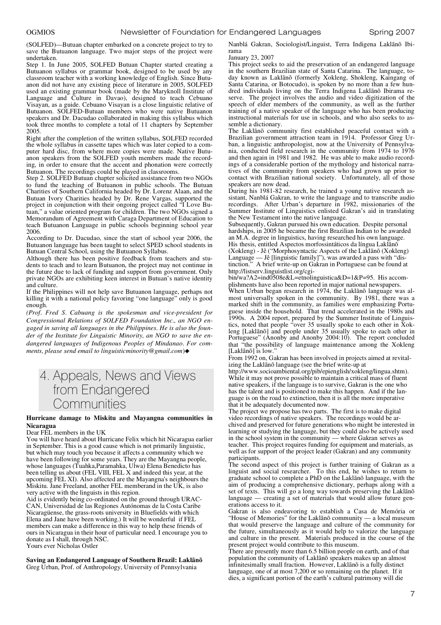(SOLFED)—Butuan chapter embarked on a concrete project to try to save the Butuanon language. Two major steps of the project were undertaken.

Step 1. In June 2005, SOLFED Butuan Chapter started creating a Butuanon syllabus or grammar book, designed to be used by any classroom teacher with a working knowledge of English. Since Butuanon did not have any existing piece of literature in 2005, SOLFED used an existing grammar book (made by the Maryknoll Institute of Language and Culture in Davao), designed to teach Cebuano Visayan, as a guide. Cebuano Visayan is a close linguistic relative of Butuanon. SOLFED-Butuan members who were native Butuanon speakers and Dr. Dacudao collaborated in making this syllabus which took three months to complete a total of 11 chapters by September 2005.

Right after the completion of the written syllabus, SOLFED recorded the whole syllabus in cassette tapes which was later copied to a computer hard disc, from where more copies were made. Native Butuanon speakers from the SOLFED youth members made the recording, in order to ensure that the accent and phonation were correctly Butuanon. The recordings could be played in classrooms.

Step 2. SOLFED Butuan chapter solicited assistance from two NGOs to fund the teaching of Butuanon in public schools. The Butuan Charities of Southern California headed by Dr. Lorenz Alaan, and the Butuan Ivory Charities headed by Dr. Rene Vargas, supported the project in conjunction with their ongoing project called "I Love Butuan," a value oriented program for children. The two NGOs signed a Memorandum of Agreement with Caraga Department of Education to teach Butuanon Language in public schools beginning school year 2006.

According to Dr. Dacudao, since the start of school year 2006, the Butuanon language has been taught to select SPED school students in Butuan Central School, using the Butuanon Syllabus.

Although there has been positive feedback from teachers and students to teach and to learn Butuanon, the project may not continue in the future due to lack of funding and support from government. Only private NGOs are exhibiting keen interest in Butuan's native identity and culture.

If the Philippines will not help save Butuanon language, perhaps not killing it with a national policy favoring "one language" only is good enough.

*(Prof. Fred S. Cabuang is the spokesman and vice-president for Congressional Relations of SOLFED Foundation Inc., an NGO engaged in saving all languages in the Philippines. He is also the founder of the Institute for Linguistic Minority, an NGO to save the endangered languages of Indigenous Peoples of Mindanao. For comments, please send email to linguisticminority@gmail.com*)

# 4. Appeals, News and Views from Endangered **Communities**

### **Hurricane damage to Miskitu and Mayangna communities in Nicaragua**

#### Dear FEL members in the UK

You will have heard about Hurricane Felix which hit Nicaragua earlier in September. This is a good cause which is not primarily linguistic, but which may touch you because it affects a community which we have been following for some years. They are the Mayangna people, whose languages (Tuahka,Paramahka, Ulwa) Elena Benedicto has been telling us about (FEL VIII, FEL X and indeed this year, at the upcoming FEL XI). Also affected are the Mayangna's neighbours the Miskitu. Jane Freeland, another FEL memberand in the UK, is also very active with the linguists in this region.

Aid is evidently being co-ordinated on the ground through URAC-CAN, Universidad de las Regiones Autónomas de la Costa Caribe Nicaragüense, the grass-roots university in Bluefields with which Elena and Jane have been working.) It will be wonderful if FEL members can make a difference in this way to help these friends of ours in Nicaragua in their hour of particular need. I encourage you to donate as I shall, through NSC.

Yours ever Nicholas Ostler

**Saving an Endangered Language of Southern Brazil: Laklãnõ** Greg Urban, Prof. of Anthropology, University of Pennsylvania

Nanblá Gakran, Sociologist/Linguist, Terra Indigena Laklãnõ Ibirama

January 23, 2007

This project seeks to aid the preservation of an endangered language in the southern Brazilian state of Santa Catarina. The language, today known as Laklãnõ (formerly Xokleng, Shokleng, Kaingang of Santa Catarina, or Botocudo), is spoken by no more than a few hundred individuals living on the Terra Indigena Laklãnõ Ibirama reserve. The project involves the audio and video digitization of the speech of elder members of the community, as well as the further training of a native speaker of the language who has been producing instructional materials for use in schools, and who also seeks to assemble a dictionary.

The Laklãnõ community first established peaceful contact with a Brazilian government attraction team in 1914. Professor Greg Urban, a linguistic anthropologist, now at the University of Pennsylvania, conducted field research in the community from 1974 to 1976 and then again in 1981 and 1982. He was able to make audio recordings of a considerable portion of the mythology and historical narratives of the community from speakers who had grown up prior to contact with Brazilian national society. Unfortunately, all of those speakers are now dead.

During his 1981-82 research, he trained a young native research assistant, Nanblá Gakran, to write the language and to transcribe audio recordings. After Urban's departure in 1982, missionaries of the Summer Institute of Linguistics enlisted Gakran's aid in translating the New Testament into the native language.

Subsequently, Gakran pursued his own education. Despite personal hardships, in 2005 he became the first Brazilian Indian to be awarded an M.A. degree in linguistics, having researched his own language. His thesis, entitled Aspectos morfossintáticos da língua Laklãnõ

(Xokleng) - Jê ("Morphosyntactic Aspects of the Laklãnõ (Xokleng) Language — Jê [linguistic family]"), was awarded a pass with "distinction." A brief write-up on Gakran in Portuguese can be found at http://listserv.linguistlist.org/cgi-

bin/wa?A2=ind0508e&L=etnolinguistica&D=1&P=95. His accomplishments have also been reported in major national newspapers.

When Urban began research in 1974, the Laklãnõ language was almost universally spoken in the community. By 1981, there was a marked shift in the community, as families were emphasizing Portuguese inside the household. That trend accelerated in the 1980s and 1990s. A 2004 report, prepared by the Summer Institute of Linguistics, noted that people "over 35 usually spoke to each other in Xokleng [Laklãnõ] and people under 35 usually spoke to each other in Portuguese" (Anonby and Anonby 2004:10). The report concluded that "the possibility of language maintenance among the Xokleng [Laklãnõ] is low.'

From 1992 on, Gakran has been involved in projects aimed at revitalizing the Laklãnõ language (see the brief write-up at

http://www.socioambiental.org/pib/epienglish/xokleng/lingua.shtm). While it may not prove possible to maintain a critical mass of fluent native speakers, if the language is to survive, Gakran is the one who has the talent and is positioned to make this happen. And if the language is on the road to extinction, then it is all the more imperative that it be adequately documented now.

The project we propose has two parts. The first is to make digital video recordings of native speakers. The recordings would be archived and preserved for future generations who might be interested in learning or studying the language, but they could also be actively used in the school system in the community — where Gakran serves as teacher. This project requires funding for equipment and materials, as well as for support of the project leader (Gakran) and any community

participants. The second aspect of this project is further training of Gakran as a linguist and social researcher. To this end, he wishes to return to graduate school to complete a PhD on the Laklãnõ language, with the aim of producing a comprehensive dictionary, perhaps along with a set of texts. This will go a long way towards preserving the Laklãnõ language — creating a set of materials that would allow future generations access to it.

Gakran is also endeavoring to establish a Casa de Memória or "House of Memories" for the Laklãnõ community — a local museum that would preserve the language and culture of the community for the future, simultaneously as it would help to valorize the language and culture in the present. Materials produced in the course of the present project would contribute to this museum.

There are presently more than 6.5 billion people on earth, and of that population the community of Laklãnõ speakers makes up an almost infinitesimally small fraction. However, Laklãnõ is a fully distinct language, one of at most 7,200 or so remaining on the planet. If it dies, a significant portion of the earth's cultural patrimony will die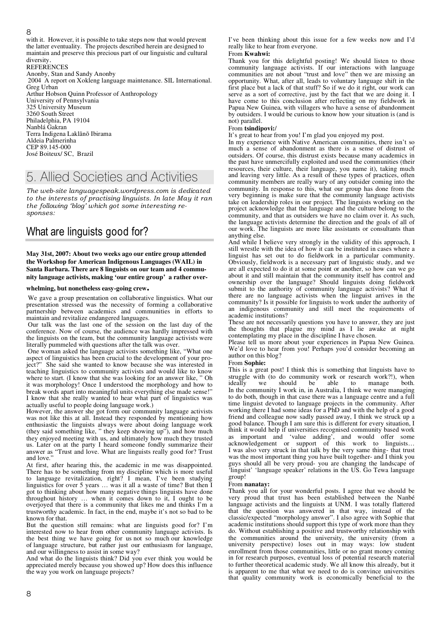### 8

with it. However, it is possible to take steps now that would prevent the latter eventuality. The projects described herein are designed to maintain and preserve this precious part of our linguistic and cultural diversity.

**REFERENCES** 

Anonby, Stan and Sandy Anonby

 2004 A report on Xokleng language maintenance. SIL International. Greg Urban Arthur Hobson Quinn Professor of Anthropology

University of Pennsylvania 325 University Museum 3260 South Street Philadelphia, PA 19104 Nanblá Gakran Terra Indigena Laklãnõ Ibirama Aldeia Palmerinha CEP 89.145-000 José Boiteux/ SC, Brazil

# 5. Allied Societies and Activities

*The web-site languagespeak.wordpress.com is dedicated to the interests of practising linguists. In late May it ran the following 'blog' which got some interesting responses:*

# What are linguists good for?

### **May 31st, 2007: About two weeks ago our entire group attended the Workshop for American Indigenous Languages (WAIL) in Santa Barbara. There are 8 linguists on our team and 4 community language activists, making 'our entire group' a rather over-**

### **whelming, but nonetheless easy-going crew.**

We gave a group presentation on collaborative linguistics. What our presentation stressed was the necessity of forming a collaborative partnership between academics and communities in efforts to maintain and revitalize endangered languages.

Our talk was the last one of the session on the last day of the conference. Now of course, the audience was hardly impressed with the linguists on the team, but the community language activists were literally pummeled with questions after the talk was over.

One woman asked the language activists something like, "What one aspect of linguistics has been crucial to the development of your project?" She said she wanted to know because she was interested in teaching linguistics to community activists and would like to know where to start. (I know that she was looking for an answer like, " Oh it was morphology! Once I understood the morphology and how to break words apart into meaningful units everything else made sense!" I know that she really wanted to hear what part of linguistics was actually useful to people doing language work.)

However, the answer she got form our community language activists was not like this at all. Instead they responded by mentioning how enthusiastic the linguists always were about doing language work (they said something like, " they keep showing up"), and how much they enjoyed meeting with us, and ultimately how much they trusted us. Later on at the party I heard someone fondly summarize their answer as "Trust and love. What are linguists really good for? Trust and love.'

At first, after hearing this, the academic in me was disappointed. There has to be something from my discipline which is more useful to language revitalization, right? I mean, I've been studying linguistics for over 5 years … was it all a waste of time? But then I got to thinking about how many negative things linguists have done throughout history … when it comes down to it, I ought to be overjoyed that there is a community that likes me and thinks I'm a trustworthy academic. In fact, in the end, maybe it's not so bad to be known for that.

But the question still remains: what are linguists good for? I'm interested now to hear from other community language activists. Is the best thing we have going for us not so much our knowledge of language structure, but rather just our enthusiasm for language, and our willingness to assist in some way?

And what do the linguists think? Did you ever think you would be appreciated merely because you showed up? How does this influence the way you work on language projects?

I've been thinking about this issue for a few weeks now and I'd really like to hear from everyone.

#### From **Kwahwi:**

Thank you for this delightful posting! We should listen to those community language activists. If our interactions with language communities are not about "trust and love" then we are missing an opportunity. What, after all, leads to voluntary language shift in the first place but a lack of that stuff? So if we do it right, our work can serve as a sort of corrective, just by the fact that we are doing it. I have come to this conclusion after reflecting on my fieldwork in Papua New Guinea, with villagers who have a sense of abandonment by outsiders. I would be curious to know how your situation is (and is not) parallel.

#### From **tsindipovi:**/

It's great to hear from you! I'm glad you enjoyed my post.

In my experience with Native American communities, there isn't so much a sense of abandonment as there is a sense of distrust of outsiders. Of course, this distrust exists because many academics in the past have unmercifully exploited and used the communities (their resources, their culture, their language, you name it), taking much and leaving very little. As a result of these types of practices, often community members are really wary of any outsider coming into the community. In response to this, what our group has done from the very beginning is make sure that the community language activists take on leadership roles in our project. The linguists working on the project acknowledge that the language and the culture belong to the community, and that as outsiders we have no claim over it. As such, the language activists determine the direction and the goals of all of our work. The linguists are more like assistants or consultants than anything else.

And while I believe very strongly in the validity of this approach, I still wrestle with the idea of how it can be instituted in cases where a linguist has set out to do fieldwork in a particular community. Obviously, fieldwork is a necessary part of linguistic study, and we are all expected to do it at some point or another, so how can we go about it and still maintain that the community itself has control and ownership over the language? Should linguists doing fieldwork submit to the authority of community language activists? What if there are no language activists when the linguist arrives in the community? Is it possible for linguists to work under the authority of an indigenous community and still meet the requirements of academic institutions?

These are not necessarily questions you have to answer, they are just the thoughts that plague my mind as I lie awake at night contemplating my place in the discipline I have chosen.

Please tell us more about your experiences in Papua New Guinea. We'd love to hear from you! Perhaps you'd consider becoming an author on this blog?

#### From **Sophie:**

This is a great post! I think this is something that linguists have to struggle with (to do community work or research work?!), when ideally we should be able to manage both. ideally we should be able to manage both. In the community I work in, in Australia, I think we were managing to do both, though in that case there was a language centre and a full time linguist devoted to language projects in the community. After working there I had some ideas for a PhD and with the help of a good friend and colleague now sadly passed away, I think we struck up a good balance. Though I am sure this is different for every situation, I think it would help if universities recognised community based work as important and 'value adding', and would offer some acknowledgement or support of this work to linguists… I was also very struck in that talk by the very same thing- that trust was the most important thing you have built together- and I think you guys should all be very proud- you are changing the landscape of 'linguist' 'language speaker' relations in the US. Go Tewa language group!

### From **nanatay:**

Thank you all for your wonderful posts. I agree that we should be very proud that trust has been established between the Nanbé language activists and the linguists at UNM. I was totally flattered that the question was answered in that way, instead of the classic/expected "morphology answer". I also agree with Sophie that academic institutions should support this type of work more than they do. Without establishing a positive and trustworthy relationship with the communities around the university, the university (from a university perspective) loses out in may ways: low student enrollment from those communities, little or no grant money coming in for research purposes, eventual loss of potential research material to further theoretical academic study. We all know this already, but it is apparent to me that what we need to do is convince universities that quality community work is economically beneficial to the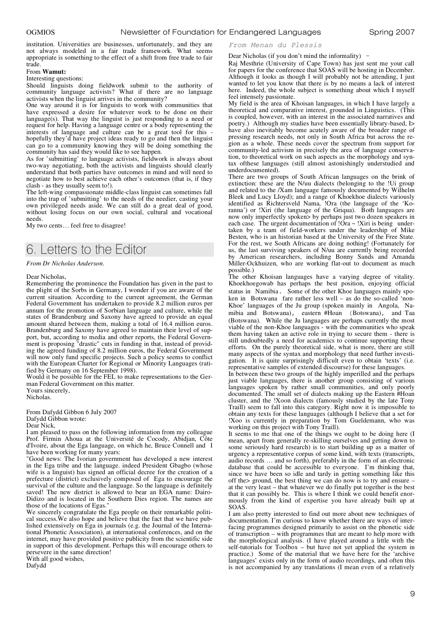institution. Universities are businesses, unfortunately, and they are not always modeled in a fair trade framework. What seems appropriate is something to the effect of a shift from free trade to fair trade.

### From **Wamut:**

Interesting questions:

Should linguists doing fieldwork submit to the authority of community language activists? What if there are no language activists when the linguist arrives in the community?

One way around it is for linguists to work with communities that have expressed a desire for whatever work to be done on their language(s). That way the linguist is just responding to a need or request for help. Having a language centre or a body representing the interests of language and culture can be a great tool for this hopefully they'd have project ideas ready to go and then the linguist can go to a community knowing they will be doing something the community has said they would like to see happen.

As for 'submitting' to language activists, fieldwork is always about two-way negotiating, both the activists and linguists should clearly understand that both parties have outcomes in mind and will need to negotiate how to best achieve each other's outcomes (that is, if they clash - as they usually seem to!).

The left-wing compassionate middle-class linguist can sometimes fall into the trap of 'submitting' to the needs of the needier, casting your own privileged needs aside. We can still do a great deal of good, without losing focus on our own social, cultural and vocational needs.

My two cents… feel free to disagree!



*From Dr Nicholas Anderson*.

#### Dear Nicholas,

Remembering the prominence the Foundation has given in the past to the plight of the Sorbs in Germany, I wonder if you are aware of the current situation. According to the current agreement, the German Federal Government has undertaken to provide 8.2 million euros per annum for the promotion of Sorbian language and culture, while the states of Brandenburg and Saxony have agreed to provide an equal amount shared between them, making a total of 16.4 million euros. Brandenburg and Saxony have agreed to maintain their level of support, but, according to media and other reports, the Federal Government is proposing "drastic" cuts in funding in that, instead of providing the agreed funding of 8.2 million euros, the Federal Government will now only fund specific projects. Such a policy seems to conflict with the European Charter for Regional or Minority Languages (ratified by Germany on 16 September 1998).

Would it be possible for the FEL to make representations to the German Federal Government on this matter. Yours sincerely,

Nicholas.

From Dafydd Gibbon 6 July 2007 Dafydd Gibbon wrote:

Dear Nick,

I am pleased to pass on the following information from my colleague Prof. Firmin Ahoua at the Université de Cocody, Abidjan, Côte d'Ivoire, about the Ega language, on which he, Bruce Connell and I have been working for many years:

"Good news: The Ivorian government has developed a new interest in the Ega tribe and the language. indeed President Gbagbo (whose wife is a linguist) has signed an official decree for the creation of a prefecture (district) exclusively composed of Ega to encourage the survival of the culture and the language. So the language is definitely saved! The new district is allowed to bear an EGA name: Dairo-Didizo and is located in the Southern Dies region. The names are those of the locations of Egas."

We sincerely congratulate the Ega people on their remarkable political success.We also hope and believe that the fact that we have published extensively on Ega in journals (e.g. the Journal of the International Phonetic Association), at international conferences, and on the internet, may have provided positive publicity from the scientific side in support of this development. Perhaps this will encourage others to persevere in the same direction!

With all good wishes,

Dafydd

*From Menan du Plessis*

Dear Nicholas (if you don't mind the informality)  $-$ 

Raj Mesthrie (University of Cape Town) has just sent me your call for papers for the conference that SOAS will be hosting in December. Although it looks as though I will probably not be attending, I just wanted to let you know that there is by no means a lack of interest here. Indeed, the whole subject is something about which I myself feel intensely passionate.

My field is the area of Khoisan languages, in which I have largely a theoretical and comparative interest, grounded in Linguistics. (This is coupled, however, with an interest in the associated narratives and poetry.) Although my studies have been essentially library-based, I> have also inevitably become acutely aware of the broader range of pressing research needs, not only in South Africa but across the region as a whole. These needs cover the spectrum from support for community-led activism in precisely the area of language conservation, to theoretical work on such aspects as the morphology and syn- tax ofthese languages (still almost astonishingly understudied and underdocumented).

There are two groups of South African languages on the brink of extinction: these are the N/uu dialects (belonging to the !Ui group and related to the /Xam language famously documented by Wilhelm Bleek and Lucy Lloyd); and a range of Khoekhoe dialects variously identified as Richtersveld Nama, !Ora (the language of the 'Koranna') or !Xiri (the language of the Griqua). Both languages are now only imperfectly spoken> by perhaps just two dozen speakers in each case. The urgent documentation of !Ora ~ !Xiri is being undertaken by a team of field-workers under the leadership of Mike Besten, who is an historian based at the University of the Free State. For the rest, we South Africans are doing nothing! (Fortunately for us, the last surviving speakers of N/uu are currently being recorded by American researchers, including Bonny Sands and Amanda Miller-Ockhuizen, who are working flat-out to document as much

possible.) The other Khoisan languages have a varying degree of vitality. Khoekhoegowab has perhaps the best position, enjoying official status in Namibia. Some of the other Khoe languages mainly spoken in Botswana fare rather less well – as do the so-called 'non-Khoe' languages of the Ju group (spoken mainly in Angola, Namibia and Botswana), eastern #Hoan (Botswana), and Taa (Botswana). While the Ju languages are perhaps currently the most viable of the non-Khoe languages - with the communities who speak them having taken an active role in trying to secure them - there is still undoubtedly a need for academics to continue supporting these efforts. On the purely theoretical side, what is more, there are still many aspects of the syntax and morphology that need further investigation. It is quite surprisingly difficult even to obtain 'texts' (i.e.

representative samples of extended discourse) for these languages. In between these two groups of the highly imperilled and the perhaps just viable languages, there is another group consisting of various languages spoken by rather small communities, and only poorly documented. The small set of dialects making up the Eastern #Hoan cluster, and the !Xoon dialects (famously studied by the late Tony Traill) seem to fall into this category. Right now it is impossible to obtain any texts for these languages (although I believe that a set for !Xoo is currently in preparation by Tom Gueldemann, who was working on this project with Tony Traill).

It seems to me that one of the things we ought to be doing here (I mean, apart from generally re-skilling ourselves and getting down to some seriously hard research) is to start building up as a matter of urgency a representative corpus of some kind, with texts (transcripts, audio records … and so forth), preferably in the form of an electronic database that could be accessible to everyone. I'm thinking that, since we have been so idle and tardy in getting something like this off the> ground, the best thing we can do now is to try and ensure – at the very least – that whatever we do finally put together is the best that it can possibly be. This is where I think we could benefit enormously from the kind of expertise you have already built up at SOAS.

I am also pretty interested to find out more about new techniques of documentation. I'm curious to know whether there are ways of interfacing programmes designed primarily to assist on the phonetic side of transcription – with programmes that are meant to help more with the morphological analysis. (I have played around a little with the self-tutorials for Toolbox – but have not yet applied the system in practice.) Some of the material that we have here for the 'archive languages' exists only in the form of audio recordings, and often this is not accompanied by any translations (I mean even of a relatively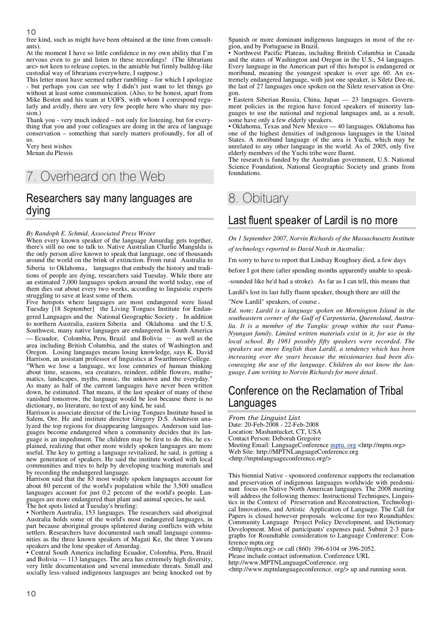$1<sub>0</sub>$ 

free kind, such as might have been obtained at the time from consultants).

At the moment I have so little confidence in my own ability that I'm nervous even to go and listen to these recordings! (The librarians are> not keen to release copies, in the amiable but firmly bulldog-like custodial way of librarians everywhere, I suppose.)

This letter must have seemed rather rambling – for which I apologize - but perhaps you can see why I didn't just want to let things go without at least some communication. (Also, to be honest, apart from Mike Besten and his team at UOFS, with whom I correspond regularly and avidly, there are very few people here who share my passion.)

Thank you - very much indeed – not only for listening, but for everything that you and your colleagues are doing in the area of language conservation – something that surely matters profoundly, for all of us.

Very best wishes Menan du Plessis

# 7. Overheard on the Web

## Researchers say many languages are dying

*By Randoph E. Schmid, Associated Press Writer*

When every known speaker of the language Amurdag gets together, there's still no one to talk to. Native Australian Charlie Mangulda is the only person alive known to speak that language, one of thousands around the world on the brink of extinction. From rural Australia to Siberia to Oklahoma, languages that embody the history and traditions of people are dying, researchers said Tuesday. While there are an estimated 7,000 languages spoken around the world today, one of them dies out about every two weeks, according to linguistic experts struggling to save at least some of them.

Five hotspots where languages are most endangered were listed Tuesday [18 September] the Living Tongues Institute for Endangered Languages and the National Geographic Society. In addition to northern Australia, eastern Siberia and Oklahoma and the U.S. Southwest, many native languages are endangered in South America — Ecuador, Colombia, Peru, Brazil and Bolivia — as well as the area including British Columbia, and the states of Washington and Oregon. Losing languages means losing knowledge, says  $\breve{K}$ . David Harrison, an assistant professor of linguistics at Swarthmore College. "When we lose a language, we lose centuries of human thinking about time, seasons, sea creatures, reindeer, edible flowers, mathematics, landscapes, myths, music, the unknown and the everyday." As many as half of the current languages have never been written

down, he estimated. That means, if the last speaker of many of these vanished tomorrow, the language would be lost because there is no dictionary, no literature, no text of any kind, he said.

Harrison is associate director of the Living Tongues Institute based in Salem, Ore. He and institute director Gregory D.S. Anderson analyzed the top regions for disappearing languages. Anderson said languages become endangered when a community decides that its language is an impediment. The children may be first to do this, he explained, realizing that other more widely spoken languages are more useful. The key to getting a language revitalized, he said, is getting a new generation of speakers. He said the institute worked with local communities and tries to help by developing teaching materials and by recording the endangered language.

Harrison said that the 83 most widely spoken languages account for about 80 percent of the world's population while the 3,500 smallest languages account for just 0.2 percent of the world's people. Languages are more endangered than plant and animal species, he said.

The hot spots listed at Tuesday's briefing:

• Northern Australia, 153 languages. The researchers said aboriginal Australia holds some of the world's most endangered languages, in part because aboriginal groups splintered during conflicts with white settlers. Researchers have documented such small language communities as the three known speakers of Magati Ke, the three Yawuru speakers and the lone speaker of Amurdag.

• Central South America including Ecuador, Colombia, Peru, Brazil and Bolivia — 113 languages. The area has extremely high diversity, very little documentation and several immediate threats. Small and socially less-valued indigenous languages are being knocked out by Spanish or more dominant indigenous languages in most of the region, and by Portuguese in Brazil.

• Northwest Pacific Plateau, including British Columbia in Canada and the states of Washington and Oregon in the U.S., 54 languages. Every language in the American part of this hotspot is endangered or moribund, meaning the youngest speaker is over age 60. An extremely endangered language, with just one speaker, is Siletz Dee-ni, the last of 27 languages once spoken on the Siletz reservation in Oregon.

• Eastern Siberian Russia, China, Japan — 23 languages. Government policies in the region have forced speakers of minority languages to use the national and regional languages and, as a result, some have only a few elderly speakers.

• Oklahoma, Texas and New Mexico — 40 languages. Oklahoma has one of the highest densities of indigenous languages in the United States. A moribund language of the area is Yuchi, which may be unrelated to any other language in the world. As of 2005, only five elderly members of the Yuchi tribe were fluent.

The research is funded by the Australian government, U.S. National Science Foundation, National Geographic Society and grants from foundations.

# 8. Obituary

# Last fluent speaker of Lardil is no more

*On 1 September 2007, Norvin Richards of the Massachusetts Institute of technology reported to David Nash in Australia:*

I'm sorry to have to report that Lindsay Roughsey died, a few days

before I got there (after spending months apparently unable to speak-

-sounded like he'd had a stroke). As far as I can tell, this means that

Lardil's lost its last fully fluent speaker, though there are still the

"New Lardil" speakers, of course.

*Ed. note: Lardil is a language spoken on Mornington Island in the southeastern corner of the Gulf of Carpentaria, Queensland, Australia. It is a member of the Tangkic group within the vast Pama-Nyungan family. Limited written materials exist in it, for use in the local school. By 1981 possibly fifty speakers were recorded. The speakers use more English than Lardil, a tendency which has been increasing over the years because the missionaries had been discouraging the use of the language. Children do not know the language. I am writing to Norvin Richards for more detail.* 

## Conference on the Reclamation of Tribal Languages

*From the Linguist List* Date: 20-Feb-2008 - 22-Feb-2008 Location: Mashantucket, CT, USA Contact Person: Deborah Gregoire Meeting Email: LanguageConference mptn. org <http://mptn.org> Web Site: http://MPTNLanguageConference.org <http://mptnlanguageconference.org/>

This biennial Native - sponsored conference supports the reclamation and preservation of indigenous languages worldwide with predominant focus on Native North American languages. The 2008 meeting will address the following themes: Instructional Techniques, Linguistics in the Context of Preservation and Reconstruction, Technological Innovations, and Artistic Application of Language. The Call for Papers is closed however proposals welcome for two Roundtables: Community Language Project Policy Development, and Dictionary Development. Most of participants' expenses paid. Submit 2-3 paragraphs for Roundtable consideration to Language Conference: Conference mptn.org

<http://mptn.org> or call (860) 396-6104 or 396-2052. Please include contact information. Conference URL

http://www.MPTNLanguageConference. org

<http://www.mptnlanguageconference. org/> up and running soon.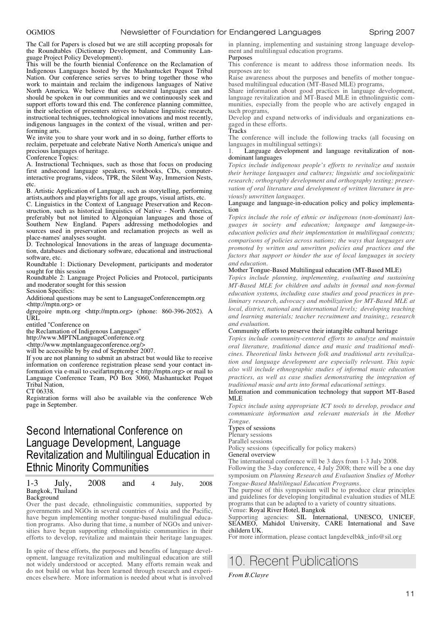The Call for Papers is closed but we are still accepting proposals for the Roundtables (Dictionary Development, and Community Language Project Policy Development).

This will be the fourth biennial Conference on the Reclamation of Indigenous Languages hosted by the Mashantucket Pequot Tribal Nation. Our conference series serves to bring together those who work to maintain and reclaim the indigenous languages of Native North America. We believe that our ancestral languages can and should be spoken in our communities and we continuously seek and support efforts toward this end. The conference planning committee, in their selection of presenters strives to balance linguistic research, instructional techniques, technological innovations and most recently, indigenous languages in the context of the visual, written and performing arts.

We invite you to share your work and in so doing, further efforts to reclaim, perpetuate and celebrate Native North America's unique and precious languages of heritage.

Conference Topics:

A. Instructional Techniques, such as those that focus on producing first andsecond language speakers, workbooks, CDs, computer- interactive programs, videos, TPR, the Silent Way, Immersion Nests, etc.

B. Artistic Application of Language, such as storytelling, performing artists,authors and playwrights for all age groups, visual artists, etc.

C. Linguistics in the Context of Language Preservation and Reconstruction, such as historical linguistics of Native - North America, preferably but not limited to Algonquian languages and those of Southern New England. Papers addressing methodologies and sources used in preservation and reclamation projects as well as place-names' analyses sought.

D. Technological Innovations in the areas of language documentation, databases and dictionary software, educational and instructional software, etc.

Roundtable 1: Dictionary Development, participants and moderator sought for this session

Roundtable 2: Language Project Policies and Protocol, participants and moderator sought for this session Session Specifics:

Additional questions may be sent to LanguageConferencemptn.org <http://mptn.org> or

dgregoire mptn.org <http://mptn.org> (phone: 860-396-2052). A URL

entitled ''Conference on

the Reclamation of Indigenous Languages''

http://www.MPTNLanguageConference.org

<http://www.mptnlanguageconference.org/>

will be accessible by by end of September 2007.

If you are not planning to submit an abstract but would like to receive information on conference registration please send your contact information via e-mail to cseifartmptn.org < http://mptn.org> or mail to Language Conference Team, PO Box 3060, Mashantucket Pequot Tribal Nation, CT 06338.

Registration forms will also be available via the conference Web page in September.

## Second International Conference on Language Development, Language Revitalization and Multilingual Education in Ethnic Minority Communities

| $1 - 3$             | July,             | 2008 | and | July. | 2008 |
|---------------------|-------------------|------|-----|-------|------|
|                     | Bangkok, Thailand |      |     |       |      |
| <b>D</b> ealcoround |                   |      |     |       |      |

Background

Over the past decade, ethnolinguistic communities, supported by governments and NGOs in several countries of Asia and the Pacific, have begun implementing mother tongue-based multilingual education programs. Also during that time, a number of NGOs and universities have begun supporting ethnolinguistic communities in their efforts to develop, revitalize and maintain their heritage languages.

In spite of these efforts, the purposes and benefits of language development, language revitalization and multilingual education are still not widely understood or accepted. Many efforts remain weak and do not build on what has been learned through research and experiences elsewhere. More information is needed about what is involved in planning, implementing and sustaining strong language development and multilingual education programs. Purposes

This conference is meant to address those information needs. Its purposes are to:

Raise awareness about the purposes and benefits of mother tonguebased multilingual education (MT-Based MLE) programs,

Share information about good practices in language development, language revitalization and MT-Based MLE in ethnolinguistic communities, especially from the people who are actively engaged in such programs,

Develop and expand networks of individuals and organizations engaged in these efforts. **Tracks** 

The conference will include the following tracks (all focusing on languages in multilingual settings):<br>1 **Language** development and

### Language development and language revitalization of nondominant languages

*Topics include indigenous people's efforts to revitalize and sustain their heritage languages and cultures; linguistic and sociolinguistic research; orthography development and orthography testing; preservation of oral literature and development of written literature in previously unwritten languages.*

#### Language and language-in-education policy and policy implementation

*Topics include the role of ethnic or indigenous (non-dominant) languages in society and education; language and language-ineducation policies and their implementation in multilingual contexts; comparisons of policies across nations; the ways that languages are promoted by written and unwritten policies and practices and the factors that support or hinder the use of local languages in society and education.*

### Mother Tongue-Based Multilingual education (MT-Based MLE)

*Topics include planning, implementing, evaluating and sustaining MT-Based MLE for children and adults in formal and non-formal education systems, including case studies and good practices in preliminary research, advocacy and mobilization for MT-Based MLE at local, district, national and international levels; developing teaching and learning materials; teacher recruitment and training;, research and evaluation.*

#### Community efforts to preserve their intangible cultural heritage

*Topics include community-centered efforts to analyze and maintain oral literature, traditional dance and music and traditional medicines. Theoretical links between folk and traditional arts revitalization and language development are especially relevant. This topic also will include ethnographic studies of informal music education practices, as well as case studies demonstrating the integration of traditional music and arts into formal educational settings.*

#### Information and communication technology that support MT-Based MLE

*Topics include using appropriate ICT tools to develop, produce and communicate information and relevant materials in the Mother Tongue.*

Types of sessions

Plenary sessions

Parallel sessions

Policy sessions (specifically for policy makers)

General overview

The international conference will be 3 days from 1-3 July 2008.

Following the 3-day conference, 4 July 2008; there will be a one day symposium on *Planning Research and Evaluation Studies of Mother Tongue-Based Multilingual Education Programs*.

The purpose of this symposium will be to produce clear principles and guidelines for developing longitudinal evaluation studies of MLE programs that can be adapted to a variety of country situations.

Venue: Royal River Hotel, Bangkok<br>Supporting agencies: SIL International, UNESCO, UNICEF, Supporting agencies: SIL International, UNESCO, UNICEF, SEAMEO, Mahidol University, CARE International and Save childern UK.

For more information, please contact langdevelbkk\_info@sil.org

# 10. Recent Publications

*From B.Clayre*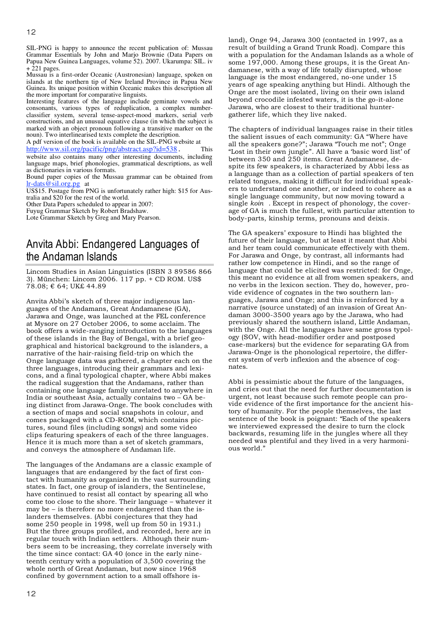SIL-PNG is happy to announce the recent publication of: Mussau Grammar Essentials by John and Marjo Brownie (Data Papers on Papua New Guinea Languages, volume 52). 2007. Ukarumpa: SIL. iv  $+ 221$  pages.

Mussau is a first-order Oceanic (Austronesian) language, spoken on islands at the northern tip of New Ireland Province in Papua New Guinea. Its unique position within Oceanic makes this description all the more important for comparative linguists.

Interesting features of the language include geminate vowels and consonants, various types of reduplication, a complex numberclassifier system, several tense-aspect-mood markers, serial verb constructions, and an unusual equative clause (in which the subject is marked with an object pronoun following a transitive marker on the noun). Two interlinearised texts complete the description.

A pdf version of the book is available on the SIL-PNG website at

http://www.sil.org/pacific/png/abstract.asp?id=538. This website also contains many other interesting documents, including language maps, brief phonologies, grammatical descriptions, as well as dictionaries in various formats.

Bound paper copies of the Mussau grammar can be obtained from lr-dats@sil.org.pg at

US\$15. Postage from PNG is unfortunately rather high: \$15 for Australia and \$20 for the rest of the world.

Other Data Papers scheduled to appear in 2007:

Fuyug Grammar Sketch by Robert Bradshaw.

Lote Grammar Sketch by Greg and Mary Pearson.

## Anvita Abbi: Endangered Languages of the Andaman Islands

Lincom Studies in Asian Linguistics (ISBN 3 89586 866 3). München: Lincom 2006. 117 pp. + CD ROM. US\$ 78.08; € 64; UK£ 44.89

Anvita Abbi's sketch of three major indigenous languages of the Andamans, Great Andamanese (GA), Jarawa and Onge, was launched at the FEL conference at Mysore on 27 October 2006, to some acclaim. The book offers a wide-ranging introduction to the languages of these islands in the Bay of Bengal, with a brief geographical and historical background to the islanders, a narrative of the hair-raising field-trip on which the Onge language data was gathered, a chapter each on the three languages, introducing their grammars and lexicons, and a final typological chapter, where Abbi makes the radical suggestion that the Andamans, rather than containing one language family unrelated to anywhere in India or southeast Asia, actually contains two – GA being distinct from Jarawa-Onge. The book concludes with a section of maps and social snapshots in colour, and comes packaged with a CD-ROM, which contains pictures, sound files (including songs) and some video clips featuring speakers of each of the three languages. Hence it is much more than a set of sketch grammars, and conveys the atmosphere of Andaman life.

The languages of the Andamans are a classic example of languages that are endangered by the fact of first contact with humanity as organized in the vast surrounding states. In fact, one group of islanders, the Sentinelese, have continued to resist all contact by spearing all who come too close to the shore. Their language – whatever it may be – is therefore no more endangered than the islanders themselves. (Abbi conjectures that they had some 250 people in 1998, well up from 50 in 1931.) But the three groups profiled, and recorded, here are in regular touch with Indian settlers. Although their numbers seem to be increasing, they correlate inversely with the time since contact: GA 40 (once in the early nineteenth century with a population of 3,500 covering the whole north of Great Andaman, but now since 1968 confined by government action to a small offshore island), Onge 94, Jarawa 300 (contacted in 1997, as a result of building a Grand Trunk Road). Compare this with a population for the Andaman Islands as a whole of some 197,000. Among these groups, it is the Great Andamanese, with a way of life totally disrupted, whose language is the most endangered, no-one under 15 years of age speaking anything but Hindi. Although the Onge are the most isolated, living on their own island beyond crocodile infested waters, it is the go-it-alone Jarawa, who are closest to their traditional huntergatherer life, which they live naked.

The chapters of individual languages raise in their titles the salient issues of each community: GA "Where have all the speakers gone?"; Jarawa "Touch me not"; Onge "Lost in their own jungle". All have a 'basic word list' of between 350 and 250 items. Great Andamanese, despite its few speakers, is characterized by Abbi less as a language than as a collection of partial speakers of ten related tongues, making it difficult for individual speakers to understand one another, or indeed to cohere as a single language community, but now moving toward a single *koin* . Except in respect of phonology, the coverage of GA is much the fullest, with particular attention to body-parts, kinship terms, pronouns and deixis.

The GA speakers' exposure to Hindi has blighted the future of their language, but at least it meant that Abbi and her team could communicate effectively with them. For Jarawa and Onge, by contrast, all informants had rather low competence in Hindi, and so the range of language that could be elicited was restricted: for Onge, this meant no evidence at all from women speakers, and no verbs in the lexicon section. They do, however, provide evidence of cognates in the two southern languages, Jarawa and Onge; and this is reinforced by a narrative (source unstated) of an invasion of Great Andaman 3000-3500 years ago by the Jarawa, who had previously shared the southern island, Little Andaman, with the Onge. All the languages have same gross typology (SOV, with head-modifier order and postposed case-markers) but the evidence for separating GA from Jarawa-Onge is the phonological repertoire, the different system of verb inflexion and the absence of cognates.

Abbi is pessimistic about the future of the languages, and cries out that the need for further documentation is urgent, not least because such remote people can provide evidence of the first importance for the ancient history of humanity. For the people themselves, the last sentence of the book is poignant: "Each of the speakers we interviewed expressed the desire to turn the clock backwards, resuming life in the jungles where all they needed was plentiful and they lived in a very harmonious world."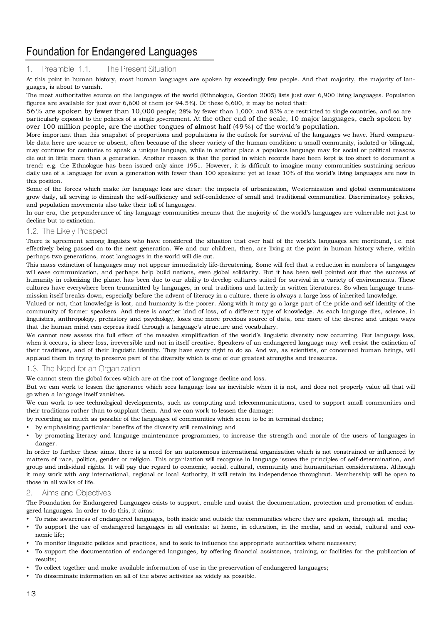# Foundation for Endangered Languages

### 1. Preamble 1.1. The Present Situation

At this point in human history, most human languages are spoken by exceedingly few people. And that majority, the majority of languages, is about to vanish.

The most authoritative source on the languages of the world (Ethnologue, Gordon 2005) lists just over 6,900 living languages. Population figures are available for just over 6,600 of them (or 94.5%). Of these 6,600, it may be noted that:

56 % are spoken by fewer than 10,000 people; 28% by fewer than 1,000; and 83% are restricted to single countries, and so are particularly exposed to the policies of a single government. At the other end of the scale, 10 major languages, each spoken by over 100 million people, are the mother tongues of almost half (49 %) of the world's population.

More important than this snapshot of proportions and populations is the outlook for survival of the languages we have. Hard comparable data here are scarce or absent, often because of the sheer variety of the human condition: a small community, isolated or bilingual, may continue for centuries to speak a unique language, while in another place a populous language may for social or political reasons die out in little more than a generation. Another reason is that the period in which records have been kept is too short to document a trend: e.g. the Ethnologue has been issued only since 1951. However, it is difficult to imagine many communities sustaining serious daily use of a language for even a generation with fewer than 100 speakers: yet at least 10% of the world's living languages are now in this position.

Some of the forces which make for language loss are clear: the impacts of urbanization, Westernization and global communications grow daily, all serving to diminish the self-sufficiency and self-confidence of small and traditional communities. Discriminatory policies, and population movements also take their toll of languages.

In our era, the preponderance of tiny language communities means that the majority of the world's languages are vulnerable not just to decline but to extinction.

### 1.2. The Likely Prospect

There is agreement among linguists who have considered the situation that over half of the world's languages are moribund, i.e. not effectively being passed on to the next generation. We and our children, then, are living at the point in human history where, within perhaps two generations, most languages in the world will die out.

This mass extinction of languages may not appear immediately life-threatening. Some will feel that a reduction in numbers of languages will ease communication, and perhaps help build nations, even global solidarity. But it has been well pointed out that the success of humanity in colonizing the planet has been due to our ability to develop cultures suited for survival in a variety of environments. These cultures have everywhere been transmitted by languages, in oral traditions and latterly in written literatures. So when language transmission itself breaks down, especially before the advent of literacy in a culture, there is always a large loss of inherited knowledge.

Valued or not, that knowledge is lost, and humanity is the poorer. Along with it may go a large part of the pride and self-identity of the community of former speakers. And there is another kind of loss, of a different type of knowledge. As each language dies, science, in linguistics, anthropology, prehistory and psychology, loses one more precious source of data, one more of the diverse and unique ways that the human mind can express itself through a language's structure and vocabulary.

We cannot now assess the full effect of the massive simplification of the world's linguistic diversity now occurring. But language loss, when it occurs, is sheer loss, irreversible and not in itself creative. Speakers of an endangered language may well resist the extinction of their traditions, and of their linguistic identity. They have every right to do so. And we, as scientists, or concerned human beings, will applaud them in trying to preserve part of the diversity which is one of our greatest strengths and treasures.

### 1.3. The Need for an Organization

We cannot stem the global forces which are at the root of language decline and loss.

But we can work to lessen the ignorance which sees language loss as inevitable when it is not, and does not properly value all that will go when a language itself vanishes.

We can work to see technological developments, such as computing and telecommunications, used to support small communities and their traditions rather than to supplant them. And we can work to lessen the damage:

by recording as much as possible of the languages of communities which seem to be in terminal decline;

- by emphasizing particular benefits of the diversity still remaining; and
- by promoting literacy and language maintenance programmes, to increase the strength and morale of the users of languages in danger.

In order to further these aims, there is a need for an autonomous international organization which is not constrained or influenced by matters of race, politics, gender or religion. This organization will recognise in language issues the principles of self-determination, and group and individual rights. It will pay due regard to economic, social, cultural, community and humanitarian considerations. Although it may work with any international, regional or local Authority, it will retain its independence throughout. Membership will be open to those in all walks of life.

### 2. Aims and Objectives

The Foundation for Endangered Languages exists to support, enable and assist the documentation, protection and promotion of endangered languages. In order to do this, it aims:

- To raise awareness of endangered languages, both inside and outside the communities where they are spoken, through all media;
- To support the use of endangered languages in all contexts: at home, in education, in the media, and in social, cultural and economic life;
- To monitor linguistic policies and practices, and to seek to influence the appropriate authorities where necessary;
- To support the documentation of endangered languages, by offering financial assistance, training, or facilities for the publication of results;
- To collect together and make available information of use in the preservation of endangered languages;
- To disseminate information on all of the above activities as widely as possible.